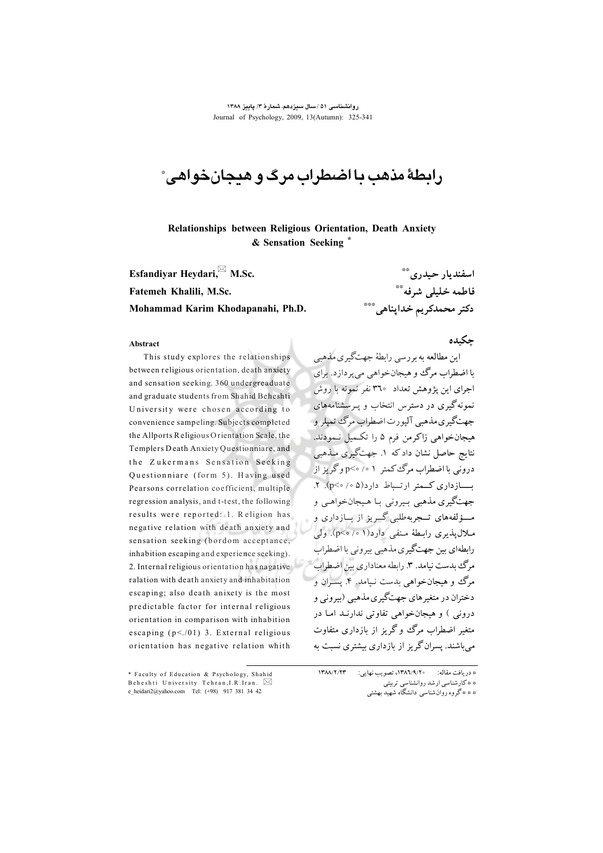روانشناسی ۵۱ / سال سیزدهم، شمارهٔ ۳/ پاییز ۱۳۸۸ Journal of Psychology, 2009, 13(Autumn): 325-341

رابطهٔ مذهب یا اضطراب مرگ و هیچان خواهی ً

Relationships between Religious Orientation, Death Anxiety & Sensation Seeking

Esfandivar Hevdari. M.Sc. Fatemeh Khalili, M.Sc. Mohammad Karim Khodapanahi, Ph.D.

اسفنديار حيدري\*\* فاطمه خليلى شرفه\*\* دكتر محمدكريم خداپناهي\*\*\*

#### Abstract

This study explores the relationships between religious orientation, death anxiety and sensation seeking. 360 undergreaduate and graduate students from Shahid Beheshti University were chosen according to convenience sampeling. Subjects completed the Allports Religious Orientation Scale, the Templers Death Anxiety Questionniare, and the Zukermans Sensation Seeking Questionniare (form 5). Having used Pearsons correlation coefficient, multiple regression analysis, and t-test, the following results were reported: 1. Religion has negative relation with death anxiety and sensation seeking (bordom acceptance, inhabition escaping and experience seeking). 2. Internal religious orientation has nagative ralation with death anxiety and inhabitation escaping; also death anixety is the most predictable factor for internal religious orientation in comparison with inhabition escaping  $(p<.01)$  3. External religious orientation has negative relation whith

## حكىدە

این مطالعه به بررسی رابطهٔ جهتگیری مذهب با اضطراب مرگ ووهیجان خواهی میپردازد. برای اجرای این پژوهش تعداد ۳۹۰ نفر نمونه با روش نمونه گیری در دسترس انتخاب و پیرسشنامههای جهتگيري مذهبي آليورت اضطراب مرگ تميلر و هیجانخواهی زاکرمن فرم ۵ را تکمیل نـمودند. نتايج حاصل نشان دادكه ١. جهتگيري مـذهبي درونی با اضطراب مرگ کمتر ۵<sup>۰</sup>۱ ->p وگریز از بازداری کبهتر ارتساط دارد(۵۰/ ۷۶۰). ۲. جهتگيري مذهبي بيروني بـا هـيجانخواهـي و مـــؤلفههای تـــجربهطلبی گـــریز از بـــازداری و ملال پذیری رابطهٔ منفی دارد(۱ ۰/ ۰>۵). ولی رابطهاي بين جهتگيري مذهبي بيروني با اضطراب مرگ بدست نیامد. ۳. رابطه معناداری بین اضطراب مرگ وو هیجانخواهی بدست نـیامد. ۴. پسـران و دختران در متغیرهای جهتگیری مذهبی (بیرونی و درونی ) و هیجانخواهی تفاوتی ندارنـد امـا در متغیر اضطراب مرگ وگریز از بازداری متفاوت می باشند. پسران گریز از بازداری بیشتری نسبت به

**ITAA/T/TT** \* دريافت مقاله: 1۳۸٦/٩/٢٠، تصويب نهايي: \* \* كارشناسي ارشد روانشناسي تربيتي \* \* \* گروه روانشناسی دانشگاه شهید بهشتی

<sup>\*</sup> Faculty of Education & Psychology, Shahid Beheshti University Tehran, I.R. Iran.  $\boxtimes$ e\_heidari2@yahoo.com Tel: (+98) 917 381 34 42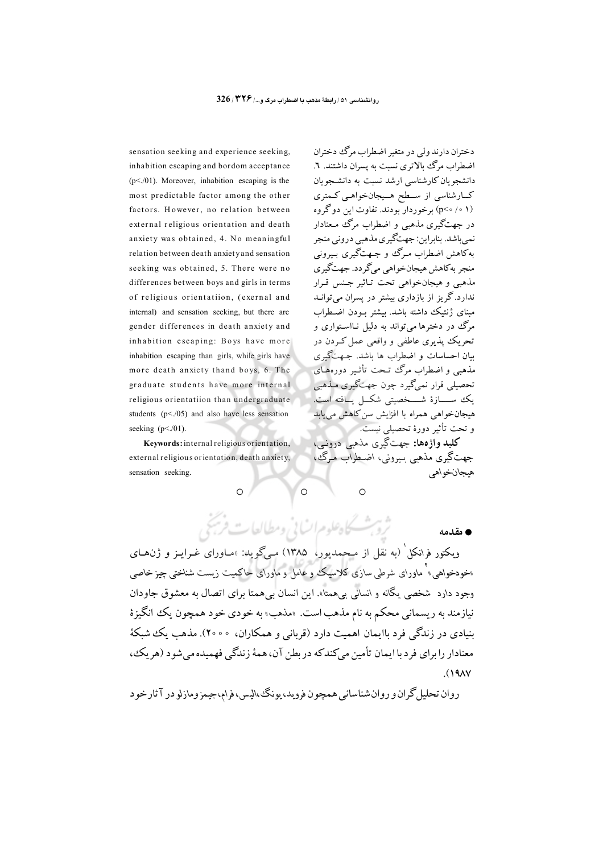sensation seeking and experience seeking, inhabition escaping and bordom acceptance  $(p<0.01)$ . Moreover, inhabition escaping is the most predictable factor among the other factors. However, no relation between external religious orientation and death anxiety was obtained, 4. No meaningful relation between death anxiety and sensation seeking was obtained, 5. There were no differences between boys and girls in terms of religious orientatiion, (exernal and internal) and sensation seeking, but there are gender differences in death anxiety and inhabition escaping: Boys have more inhabition escaping than girls, while girls have more death anxiety thand boys, 6. The graduate students have more internal religious orientatiion than undergraduate students  $(p<.05)$  and also have less sensation seeking  $(p<0.01)$ .

Keywords: internal religious orientation, external religious orientation, death anxiety, sensation seeking.

دختران دارند ولي در متغیر اضطراب مرگ دختران اضطراب مرگ بالاتری نسبت به پسران داشتند. ٦. دانشجویان کارشناسی ارشد نسبت به دانشجویان کــارشناسی از ســطح هــیجانخواهـی کـمتری (p<۰/0) برخوردار بودند. تفاوت این دوگروه در جهتگیری مذهبی و اضطراب مرگ معنادار نمي باشد. بنابراين: جهتگيري مذهبي دروني منجر ىەكاھش اضطراب مىرگ و جىھتگيرى بىيرونى منجر بهکاهش هیجانخواهی میگردد. جهتگیری مذهبي و هيجانخواهي تحت تـاثير جـنس قـرار ندارد.گریز از بازداری بیشتر در پسران می توانـد مبنای ژنتیک داشته باشد. بیشتر بـودن اضـطراب مرگ در دخترها مي تواند به دليل نـااسـتواري و تحریک پذیری عاطفی و واقعی عمل کـردن در سان احساسات و اضطراب ها باشد. جـهت گیری مذهبی و اضطراب مرگ تنحت تأثیر دورههای تحصیلی قرار نمیگیرد چون جهتگیری مـذهبی يك ســــازة شــــخصيتي شكــل يــافته است. هیجانخواهی همراه با افزایش سن کاهش م<u>ی ی</u>ابد و تحت تأثیر دورهٔ تحصیلی نیست.

کليد واژهها: جهتگيري مذهبي درونبي، جهتگیری مذهبی بیبرونی، اضطراب میگ ، هيجانخواهي

 $\circ$ 

**م** مقدمه

ویکتور فرانکل<sup>٬</sup> (به نقل از مــحمدپور، ۱۳۸۵) مـیگوید: «مــاورای غــرایــز و ژن&ـای «خودخواهی» ماورای شرطی سازی کلاسیک و عامل و ماورای حاکمیت زیست شناختی چیز خاصی وجود دارد شخصي پگانه و انساني بي همتا». اين انسان بي همتا براي اتصال به معشوق جاودان نيازمند به ريسماني محكم به نام مذهب است. «مذهب» به خودي خود همچون يك انگيزهٔ بنیادی در زندگی فرد باایمان اهمت دارد (قربانی و همکاران، °°۲۰). مذهب یک شبکهٔ معنادار را براي فرد با ايمان تأمين ميكندكه در بطن آن، همهٔ زندگي فهميده مي شود (هر يك،  $(19A)$ 

 $\circ$ 

روان تحلیل گران و روان شناسانی همچون فروید، بونگی الیس، فرام، جیمز ومازلو در آثار خو د

ثروب كاهلوم انساني ومطالعات فريخي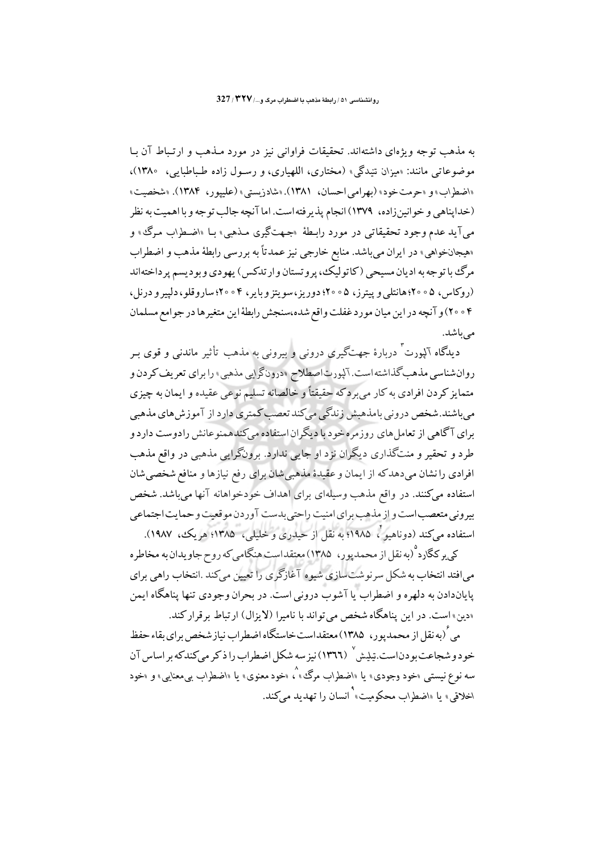به مذهب توجه ویژهای داشتهاند. تحقیقات فراوانی نیز در مورد مـذهب و ارتـباط آن بـا موضوعاتی مانند: «میزان تنیدگی» (مختاری، اللهپاری، و رسـول زاده طـباطبایی، ۱۳۸۰)، «اضطراب» و «حرمت خود» (بهرامي احسان، ١٣٨١). «شادزيستي» (عليپور، ١٣٨۴). «شخصيت» (خداپناهی و خوانینزاده، ۱۳۷۹) انجام پذیرفته است. اما آنچه جالب توجه و با اهمیت به نظر ميآيد عدم وجود تحقيقاتي در مورد رابـطهٔ «جـهتگيري مـذهبي» بـا «اضـطراب مـرگ، و «هیجانخواهی» در ایران می باشد. منابع خارجی نیز عمدتاً به بررسی رابطهٔ مذهب و اضطراب مرگ با توجه به اديان مسيحي (كاتوليك، پر و تستان و ارتدكس) پهودي و بو ديسم پر داختهاند (روکاس، ۵ ° ۲۰؛ هانتلی و پیترز، ۵ ° ۲۰؛ دوریز، سویتز و بایر، ۴ ° ° ۲؛ ساروقلو، دلیپر و درنل، ۰۴ م ۲۰) و آنچه در این میان مورد غفلت واقع شده،سنجش رابطهٔاین متغیرها در جوامع مسلمان مے باشد.

دیدگاه آلپورت ً دربارهٔ جهتگیری درونی و بیرونی به مذهب تأثیر ماندنی و قوی بـر روان شناسی مذهب گذاشته است. آلپورت اصطلاح «درونگرایی مذهبی» را برای تعریف کردن و متمایز کردن افرادی به کار می برد که حقیقتاً و خالصانه تسلیم نوعی عقیده و ایمان به چیزی می باشند.شخص درونی بامذهبش زندگی میکند تعصب کمتری دارد از آموزش های مذهبی برای آگاهی از تعامل های روزمره خود با دیگران استفاده میکندهمنوعانش رادوست دارد و طرد و تحقير و منتگذاري ديگران نزد او جايبي ندارد. برونگرايبي مذهبي در واقع مذهب افرادي را نشان مي دهدكه از ايمان و عقيدهٔ مذهبي شان براي رفع نيازها و منافع شخصي شان استفاده میکنند. در واقع مذهب وسیلهای برای اهداف خودخواهانه آنها میباشد. شخص بیرونی متعصب است و از مذهب برای امنیت راحتی بدست آوردن موقعیت و حمایت اجتماعی استفاده میکند (دوناهیو ٌ، ۱۹۸۵؛ به نقل از حیدری و خلیلی، ۱۳۸۵؛ هریک، ۱۹۸۷).

کی پر کگارد <sup>۹</sup>(به نقل از محمدپور، ۱۳۸۵) معتقداست هنگامی که روح جاویدان به مخاطره می افتد انتخاب به شکل سر نو شت سازی شیوه آغازگری را تعیین می کند .انتخاب راهی برای پایاندادن به دلهره و اضطراب یا آشوب درونی است. در بحران وجودی تنها پناهگاه ایمن «دین» است. در این پناهگاه شخص می تواند با نامیرا (لایزال) ارتباط بر قرار کند.

می ٔ (به نقل از محمدیور، ۱۳۸۵) معتقداست خاستگاه اضطراب نیاز شخص برای بقاء حفظ خو د و شجاعت بو دناست.تيليش `` (١٣٦٦) نيز سه شكل اضطراب را ذ كر مي كندكه بر اساس آن سه نوع نیستی «خود وجودی» یا «اضطراب مرگ» <sup>۵</sup>۰ «خود معنوی» یا «اضطراب بیٖمعنایی» *و* «خود اخلاقی» با «اضطراب محکومت» انسان را تهدید می کند.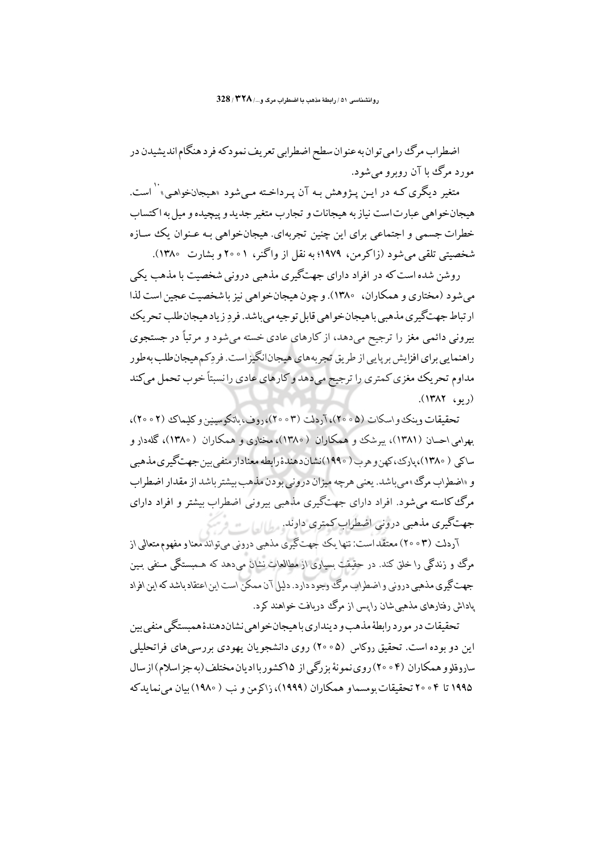اضطراب مرگ را می توان به عنوان سطح اضطرابی تعریف نمودکه فرد هنگام اندیشیدن در مورد مرگ با آن روبرو مي شود.

متغیر دیگری کـه در ایـن پـژوهش بـه آن پـرداخـته مـی شود «هـیجانخواهـی» <sup>۱۰</sup> است. هيجانخواهي عبارت است نيازبه هيجانات و تجارب متغير جديد و پيچيده و ميل به اكتساب خطرات جسمی و اجتماعی برای این چنین تجربهای. هیجانخواهی بـه عـنوان یک سـازه شخصيتي تلقى مى شود (زاكرمن، ١٩٧٩؛ به نقل از واگنر، ١٥٥١ و بشارت ١٣٨٥).

روشن شده است که در افراد دارای جهتگیری مذهبی درونی شخصیت با مذهب یکی مرغود (مختاری و همکاران، ۱۳۸۰). و جون هیجانخواهی نیز باشخصیت عجیز است لذا ار تباط جهت گيري مذهبي باهيجان خواهي قابل توجيه مي باشد. فر دِ زياد هيجان طلب تحريك بیرونی دائمی مغز را ترجیح میدهد، از کارهای عادی خسته می شود و مرتباً در جستجوی راهنمایی برای افزایش برپایی از طریق تجربههای هیجانانگیزاست. فروکمهیجان طلب به طور مداوم تحريك مغزى كمترى را ترجيح مىدهد و كارهاى عادى را نسبتاً خوب تحمل مىكند  $(1411)$ 

تحقیقات و پنک و اسکات (۵۰۵۵)، آردلت (۳۰۵۲)، دوف، پاتکوسینین و کلیماک (۲۰۵۲)، بهرامی احسان (۱۳۸۱)، پیرشک و همکاران (۱۳۸۰)، مختاری و همکاران (۱۳۸۰)، گلهدار و ساکي ( ۱۳۸۰)،پارٽ،کهن و هرب ( ۱۹۹۰)نشان دهندۀ رابطه معنادار منفي ٻين جهتڱيري مذهبي و «اضطراب مرگ» می باشد. بعنی هرچه میزان درونی بو دن مذهب بیشتر باشد از مقدار اضطراب مرگ کاسته می شود. افراد دارای جهتگیری مذهبی بیرونی اضطراب بیشتر و افراد دارای جهتگیری مذهبی درونی اضطراب کمتری دارند. مطالبهاست

آردلت (۳ ه ۲۰) معتقداست: تنها یک جهتگیری مذهبی درونی میتواند معنا و مفهوم متعالی از مرگ و زندگی را خلق کند. در حقیقت بسیاری از مطالعات نشان می دهد که هـمبستگی مـنفی بـین ۔<br>جهت گیری مذهبی درونی و اضطراب مرگ<sup>ی</sup> وجود دارد. دلیل آن ممکن است این اعتقاد ماشد که این افراد یاداش رفتارهای مذهبی شان را پس از مرگ دریافت خواهند کرد.

تحقیقات در مورد رابطهٔ مذهب و دینداری با هیجان خواهی نشاندهندهٔ همبستگی منفی بین این دو بوده است. تحقیق روکاس (۵۰۵۵) روی دانشجویان یهودی بررسی های فراتحلیلی سادوقلو و همکاران (۴ ۰ ۲۰) روی نمو نهٔ بزرگی از ۱۵کشو ریاادیان مختلف(به جز اسلام)از سال ۱۹۹۵ تا ۴ ۰ ۲۰ تحقیقات مومسهاو همکاران (۱۹۹۹)، زاکرمن و نب ( ۱۹۸۰) بیان مر نماید که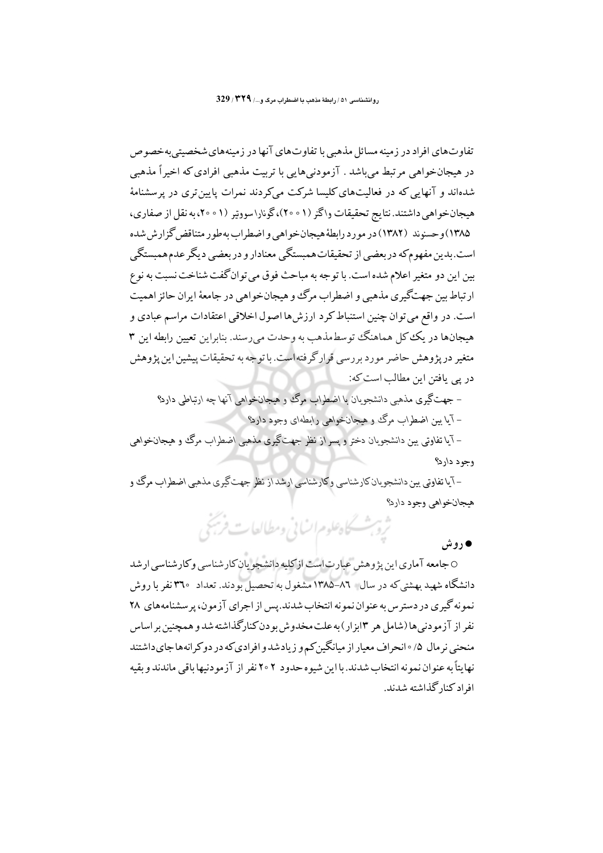تفاوت های افراد در زمینه مسائل مذهبی با تفاوت های آنها در زمینه های شخصیتی به خصوص در هیجانخواهی مرتبط می باشد . آزمودنی هایی با تربیت مذهبی افرادی که اخیر اً مذهبی شدهاند و آنهایی که در فعالیتهای کلیسا شرکت میکردند نمرات پایین تری در پرسشنامهٔ هیجانخواهی داشتند. نتایج تحقیقات واگنر (۱ ۰ ۲۰)،گونارا سووتیر (۱ ۰ ۲۰).به نقل از صفاری، ۱۳۸۵) و حسنوند (۱۳۸۲) در مو رد رابطهٔ هیجان خو اهی و اضطراب به طور متناقض گزارش شده است.بدین مفهومکه دربعضی از تحقیقات همبستگی معنادار و دربعضی دیگر عدم همبستگی بین این دو متغیر اعلام شده است. با توجه به مباحث فوق می توان گفت شناخت نسبت به نوع ار تباط بين جهتگيري مذهبي و اضطراب مرگ و هيجان خواهي در جامعهٔ ايران حائز اهميت است. در واقع می توان چنین استنباط کرد ارزش ها اصول اخلاقی اعتقادات مراسم عبادی و هیجانها در یک کل هماهنگ توسط مذهب به وحدت می رسند. بنابراین تعیین رابطه این ۳ متغیر در پژوهش حاضر مورد بررسی قرارگرفتهاست. با توجه به تحقیقات پیشین این پژوهش در یی یافتن این مطالب است که:

– جهتگيري مذهبي دانشجويان يا اضطراب مرگ و هيجانخواهي آنها چه ارتباطي دارد؟ – آيا بين اضطراب مرگ و هيجانخواهي رابطهاي وجود دارد؟

– آ ما تفاوتی بین دانشجویان دختر و پسر از نظر جهتگیری مذهبی اضطراب مرگ وو هیجانخواهی وجود دارد؟

–آیا تفاوتی بین دانشجویان کارشناسی وگارشناسی ارشد از نظر جهت گیری مذهبی اضطراب مرگ و هيجانخواهي وجود دارد؟

ثروبث كحاه علوم انساني ومطالعات فريخي

# • روش

0 جامعه آماری این پژوهش عبارت است از کلیه دانشجو پان کارشناسی و کارشناسی ارشد دانشگاه شهید بهشتیکه در سال ۸٦–۱۳۸۵ مشغول به تحصیل بودند. تعداد ۳٦۰ نفر با روش نمونه گیری در دسترس به عنوان نمونه انتخاب شدند.پس از اجرای آزمون، پرسشنامههای ۲۸ نفر از آزمودنی ها (شامل هر ۱۳بزار) به علت مخدوش بودن کنارگذاشته شد و همچنین بر اساس منحنی نرمال ۰/۵ انحراف معیار از میانگین کم و زیادشد و افرادی که در دو کرانههاجای داشتند نهايتاً به عنوان نمو نه انتخاب شدند. با اين شيو ه حدود ٢٥٢ نفر از آزمو دنيها باقي ماندند و بقيه افراد کنار گذاشته شدند.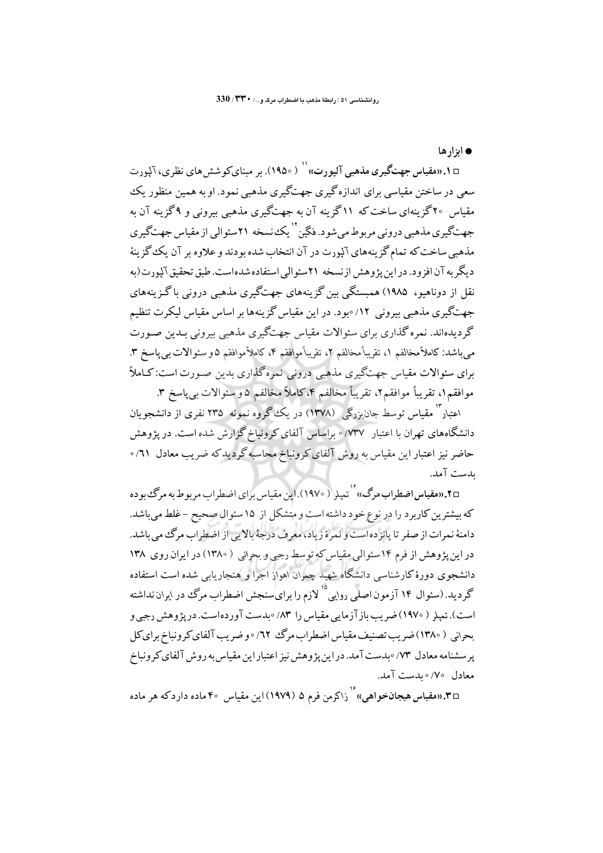• ان ار ها

۵۱. «مقیاس جهتگیری مذهبی آلیورت» `` ( ۱۹۵۰). بر مینای کوشش های نظری، آلیورت سعی در ساختن مقیاسی برای اندازه گیری جهتگیری مذهبی نمود. او به همین منظور یک مقیاس ۲۰گزینهای ساخت که ۱۱گزینه آن به جهتگیری مذهبی بیرونی و ۹گزینه آن به جهتگیری مذهبی درونی مربوط می شود. فگین<sup>''</sup> یک نسخه ۲۱سئوالی از مقیاس جهتگیری مذهبی ساخت که تمام گز پنههای آلبورت در آن انتخاب شده بودند و علاوه بر آن یک گز پنهٔ د یگر به آن افزود. در این بژوهش از نسخه ۲۱سئوالی استفاده شده است. طبق تحقیق آلبورت(به .<br>نقل از دوناهیو، ۱۹۸۵) همبستگی بین گزینههای جهتگیری مذهبی درونی باگزینههای جهتگیری مذهبی بیرونی ۱۲/ ∘بود. در این مقیاس گزینهها بر اساس مقیاس لیکرت تنظیم گردیدهاند. نمره گذاری برای سئوالات مقیاس جهتگیری مذهبی بیرونی بـدین صـورت م باشد: كاملاً مخالفم ١، تقريباً مخالفم ٢، تقريباً موافقم ٤، كاملاً موافقم ٥و سئوالات بي ياسخ ٣. برای سئوالات مقیاس جهتگیری مذهبی درونی نمرهگذاری بدین صـورت است:کـاملاً موافقيه١، تقريباً موافقيم٢، تقريباً مخالفيم ٣، كاملاً مخالفي ٥ و سئوالات بي ياسخ ٣.

اعتبار <sup>۱٬</sup> مقیاس توسط جان<sub>ن</sub>زرگی (۱۳۷۸) در یک گروه نمونه ۲۳۵ نفری از دانشجویان دانشگاههای تهران با اعتبار ۷۳۷/ ۰ براساس آلفای کرونباخ گزارش شده است. در یژوهش حاضر نیز اعتبار این مقیاس به روش آلفای کرونباخ محاسبه گردیدکه ضریب معادل ۱٪ ۰ ىدست آمد.

m×.«مقياس اضطراب مرگ»'` <sub>تعيلر</sub> ( ١٩٧٠).اين مقياس براي اضطراب مربوط به مرگ<sup>ي</sup> بو ده که بیشترین کاربرد را در نوع خود داشته است و متشکل از ۱۵ سئوال صحیح –غلط می باشد. دامنهٔ نمرات از صفر تا پانز ده است و نمرهٔ زیاد، معرف درجهٔ بالایی از اضطراب مرگ می باشد. در این پژوهش از فرم ۱۴ سئوالی مقیاس که توسط رجبی و بحرانی ( ۱۳۸۰) در ایران روی ۱۳۸ دانشجوی دورهٔ کارشناسی دانشگاه شهید چمران اهواز اجرا و هنجاریابی شده است استفاده گر دید. (سئوال ۱۴ آزمون اصلی رو<sub>ل</sub>ی<sup>°۱</sup> لازم را برایسنجش اضطراب مرگ در ایران نداشته است). تعیلر ( ۱۹۷۰) ضریب باز آزمایی مقیاس را ۸۳/ ∘بدست آوردهاست. در پژوهش رجبی و بحراني ( ١٣٨٠) ضريب تصنيف مقياس اضطراب مرگ ٦٢/ ∘ و ضريب آلفاي كرونباخ براي كل پرسشنامه معادل ۷۳/ ۰بدست آمد. در این پژوهش نیز اعتبار این مقیاس به روش آلفای کرونباخ معادل ٧٥/٥ بدست آمد.

m درمقیاس هیجا**نخواهی» کارداکرمن فرم ۵ (۱۹۷۹) این مقیاس ۴۰ ماده دارد که هر ماده**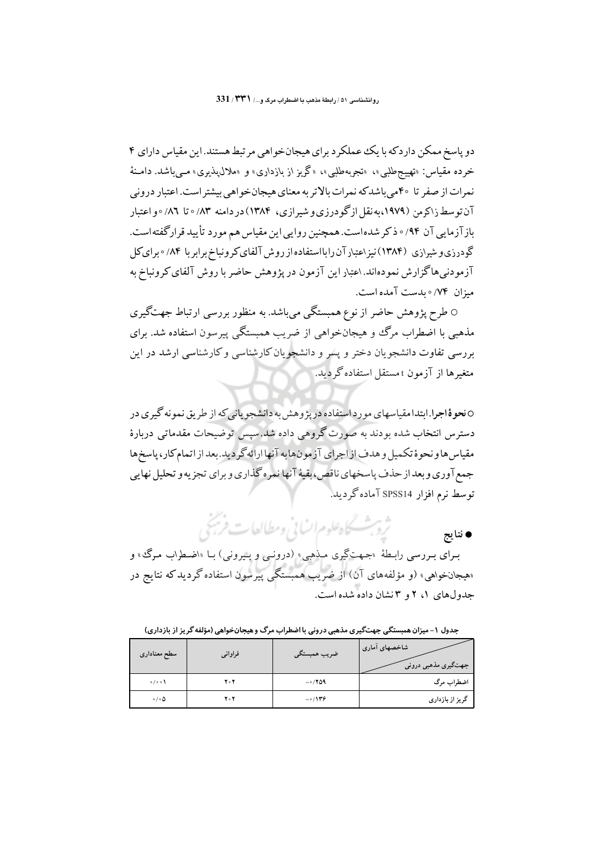دو پاسخ ممکن داردکه با یک عملکرد برای هیجانخواهی مرتبط هستند. این مقیاس دارای ۴ خرده مقیاس: «تهییجطلبی»، «تجربهطلبی»، «گریز از بازداری» و «ملال،پذیری» مــیباشد. دامـنهٔ نمرات از صفر تا ۴۰میباشدکه نمرات بالاتر به معنای هیجانخواهی بیشتر است. اعتبار درونی آن توسط زاکرمن (۱۹۷۹،به نقل ازگودرزی و شیرازی، ۱۳۸۴) در دامنه ۸۳/ ۰ تا ۸۲/ ۰ و اعتبار بازآزمایی آن ۹۴/۰ ذکر شدهاست. همچنین روایی این مقیاس هم مورد تأیید قرارگفتهاست. گودرزی و شیرازی (۱۳۸۴) نیز اعتبار آن رابااستفاده از روش آلفای کرونباخ برابر با ۸۴/ ∘ برای کل آزمودنی هاگزارش نمودهاند. اعتبار این آزمون در یژوهش حاضر با روش آلفای کرونباخ به ميزان ٧۴/٥ بدست آمده است.

0 طرح پژوهش حاضر از نوع همبستگی میباشد. به منظور بررسی ارتباط جهتگیری مذهبی با اضطراب مرگ و هیجانخواهی از ضریب همبستگی پیرسون استفاده شد. برای بررسی تفاوت دانشجویان دختر و پسر و دانشجویان کارشناسی و کارشناسی ارشد در این متغیرها از آزمون t مستقل استفاده گردید.

0 نحوۀ اجرا.ابتدا مقياسهاي مورد استفاده در پژوهش به دانشجو ياني كه از طريق نمونه گيري در دسترس انتخاب شده بودند به صورت گروهی داده شد.سیس توضیحات مقدماتی دربارهٔ مقياس هاو نحوهٔ تكميل و هدف از اجراي آزمون هابه آنها ارائه گر ديد. بعد از اتمام كار، پاسخ ها جمع آوري و بعد از حذف پاسخهاي ناقص،بقيۀ آنها نمره گذاري و براي تجزيه و تحليل نهايي توسط نرم افزار SPSS14 آماده گردید.

> ثرو شسكاه علوم انساني ومطالعات فريجي ● نتايج

بـرای بـررسی رابـطهٔ «جـهتگیری مـذهبی» (درونـی و بـیرونی) بـا «اضـطراب مـرگ، و «هیجانخواهی» (و مؤلفههای آن) از ضریب همبستگی پیرسون استفاده گردیدکه نتایج در حدولهای (، ۲ و ۳نشان داده شده است.

جدول ۱- میزان همبستگی جهتگیری مذهبی درونی با اضطراب مرگ و هیجانخواهی (مؤلفه گریز از بازداری)

| سطح معناداري               | فراواني | ضريب همبستگي | شاخصهای أماری<br>جهتگیری مذهبی درونی |
|----------------------------|---------|--------------|--------------------------------------|
| 0/00                       | 204     | $-0/709$     | اضطراب مرگ                           |
| $\circ$ / $\circ$ $\Delta$ | 204     | $-0/179$     | گریز از بازداری                      |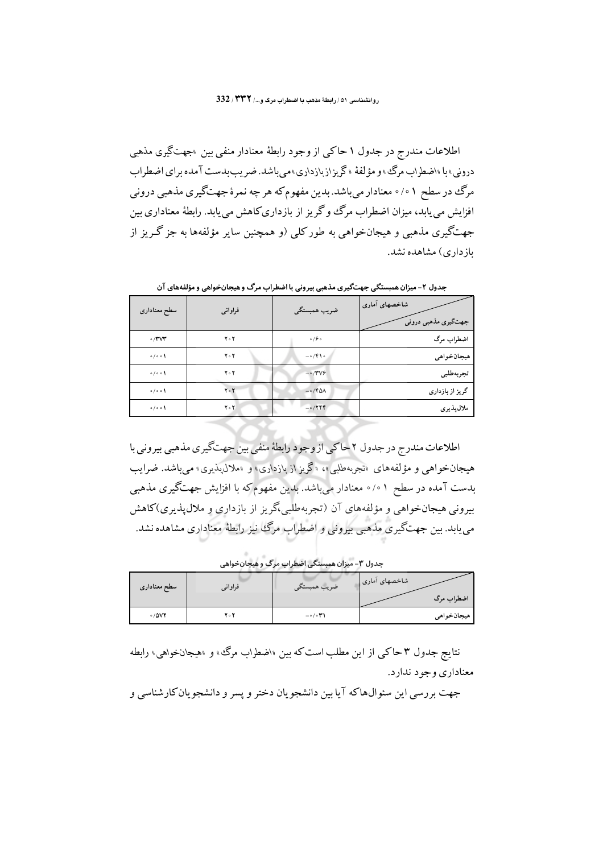اطلاعات مندرج در جدول ۱ حاکی از وجود رابطهٔ معنادار منفی بین <sub>"</sub>جهتگیری مذهبی دروني» با «اضطراب مرگ» و مؤلفهٔ «گريزازبازداري» مي باشد. ضريب بدست آمده براي اضطراب مرگ در سطح ۰/۰۱ معنادار میباشد. بدین مفهوم که هر چه نمرهٔ جهتگیری مذهبی درونی افزایش می یابد، میزان اضطراب مرگ وگریز از بازداری کاهش می یابد. رابطهٔ معناداری بین جهتگیری مذهبی و هیجانخواهی به طورکلی (و همچنین سایر مؤلفهها به جز گریز از باز داری) مشاهده نشد.

| سطح معناداري | فراواني     | ضريب همبستگي | شاخصهاي أماري<br>جهتگیری مذهبی درونی |
|--------------|-------------|--------------|--------------------------------------|
| $\sigma/TVT$ | $Y \circ Y$ | 0/90         | اضطراب مرگ                           |
| 0/00         | $Y \circ Y$ | $-0$ /۴۱0    | ميجانخواهي                           |
| 0/00         | $Y \circ Y$ | $-0/7V9$     | تجربه طلبي                           |
| 0/00         | ۲۰۲         | $-0$ /۴۵۸    | گریز از بازداری                      |
| 0/00         | ۲۰۲         | $-0/799$     | ملال پذیری                           |

جدول ۲- میزان همبستگی جهتگیری مذهبی بیرونی با اضطراب مرگ و هیجانخواهی و مؤلفههای آن

اطلاعات مندرج در جدول ٢ حاكي از وجود رابطهٔ منفي بين جهتگيري مذهبي بيروني با هیجانخواهی و مؤلفههای «تجربهطلبی»، «گریز از بازداری» و «ملال،پذیری» می باشد. ضرایب بدست آمده در سطح ۰/۰۱ معنادار میباشد. بدین مفهوم که با افزایش جهتگیری مذهبی بیرونی هیجانخواهی و مؤلفههای آن (تجربهطلبی،گریز از بازداری و ملال پذیری)کاهش می یابد. بین جهتگیری مذهبی بیرونی و اضطراب مرگ نیز رابطهٔ معناداری مشاهده نشد.

جدول ۳- میزان همبستگی اضطراب مرگ و هیجانخواهی

| سطح معناداري | فراوانى | ضريب همبستگي              | شاخصهای آماری |
|--------------|---------|---------------------------|---------------|
|              |         |                           | اضطراب مرگ    |
| 0/0V         | ۲۰۲     | $-\circ/\circ \mathbf{r}$ | هيجانخواهي    |

نتایج جدول ۳ حاک<sub>می</sub> از این مطلب است که بین «اضطراب مرگ» و «هیجانخواهی» رابطه معناداري وجو د ندار د.

جهت بررسي اين سئوالهاكه آيا بين دانشجو يان دختر و پسر و دانشجو يان كارشناسي و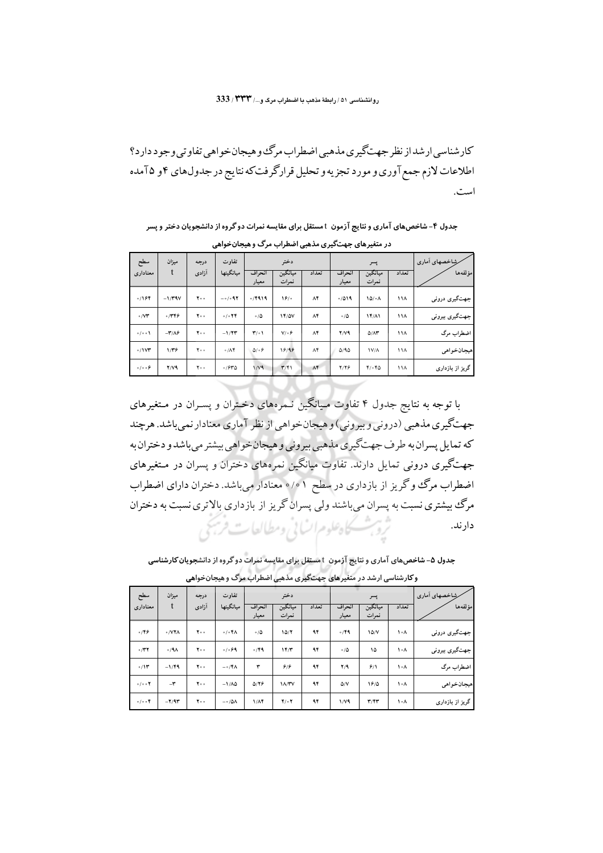### روانشناسی ٥١/ رابطة مذهب يا اضطراب مرى و.../ ٣٣٣/ 333

کار شناسی ار شد از نظر جهتگیر ی مذهبی اضطراب مرگ و هیجان خو اهی تفاو تی وجو د دار د؟ اطلاعات لازم جمع آوري و مورد تجزيه و تحليل قرارگرفتكه نتايج در جدولهاي ۴و ۲۵مده است.

جدول ۴- شاخصهای آماری و نتایج آزمون ً t مستقل برای مقایسه نمرات دو گروه از دانشجویان دختر و پسر در متغیرهای جهتگیری مذهبی اضطراب مرگ و هیجانخواهی

| سطح                   | ميزان                              | درجه            | تفاوت     |                                | دختر             |             |                 | پسر              |       | شِاخصهای اَماری |
|-----------------------|------------------------------------|-----------------|-----------|--------------------------------|------------------|-------------|-----------------|------------------|-------|-----------------|
| معناداري              | t                                  | آزادى           | ميانگينها | انحراف<br>معيار                | ميانگين<br>نمرات | تعداد       | انحراف<br>معيار | ميانگين<br>نمرات | تعداد | مؤلفهها         |
| 0/194                 | $-1/79V$                           | $Y \circ \circ$ | $-0.097$  | 0/1919                         | 19/0             | ۸۴          | 0/019           | 10/0A            | ۱۱۸   | جهتگیری درونی   |
| $\circ$ / $\vee \tau$ | 0/779                              | $Y \circ \circ$ | 0/074     | $\circ/\Delta$                 | <b>14/0V</b>     | ۸۴          | $\circ/\Delta$  | 15/11            | ۱۱۸   | جهتگیری بیرونی  |
| 0/00                  | $-\mathbf{r}/\mathbf{A}\mathbf{F}$ | $Y \circ \circ$ | $-1/7T$   | $\mathbf{r}' \cdot \mathbf{1}$ | $V/\circ f$      | $\Lambda$ ۴ | $Y/Y$ ۹         | $Q/M^*$          | ۱۱۸   | اضطراب مرگ      |
| $0/1$ V۳              | $1/\mathbf{r}$                     | $Y \circ \circ$ | 0/AF      | 0.09                           | 18/98            | $\Lambda^*$ | 0/90            | $1V/\Lambda$     | ۱۱۸   | هيجانخواهي      |
| 0/0.09                | $Y/Y$ ۹                            | ٢.۰             | 0/940     | $1/\nu q$                      | T/F1             | $\Lambda$ ۴ | Y/Y             | 4/040            | ۱۱۸   | گریز از بازداری |

با توجه به نتایج جدول ۴ تفاوت میانگین نـمرههای دخـتران و پسـران در مـتغیرهای جهتگیری مذهبی (درونی و بیرونی) و هیجان خواهی از نظر آماری معنادار نمی باشد. هرچند که تمایل پسران به طرف جهتگیری مذهبی بیرونی و هیجان خواهی بیشتر می باشد و دختران به جهتگیری درونی تمایل دارند. تفاوت میانگین نمرههای دختران و پسران در مـتغیرهای اضطراب مرگ و گریز از بازداری در سطح ۱ ۰/۰ معنادار می باشد. دختران دارای اضطراب مرگ بیشتری نسبت به پسران می باشند ولی پسران گریز از بازداری بالاتری نسبت به دختران ثروبت كاهلوم انساني ومطالعات فربحي دار ند.

جدول ۵- شاخصهای آماری و نتایج آزمون t مستقل برای مقایسه نمرات دو گروه از دانشجویان کارشناسی

| -<br>$\cdots$<br>.<br>$\tilde{}$<br>- - - -<br>.<br>~ |                                    |                 |                                  |                 |                  |       |                 |                         |       |                 |
|-------------------------------------------------------|------------------------------------|-----------------|----------------------------------|-----------------|------------------|-------|-----------------|-------------------------|-------|-----------------|
| سطح                                                   | ميزان                              | درجه            | تفاوت                            |                 | دختر             |       |                 | پسر                     |       | شِاخصهای أماری  |
| معنادارى                                              | t                                  | آزادى           | ميانگينها                        | انحراف<br>معيار | ميانگين<br>نمرات | تعداد | انحراف<br>معيار | ميانگين<br>نمرات        | تعداد | مؤلفهها         |
| 0/99                                                  | 0/VIA                              | $Y \circ \circ$ | $0/04\Lambda$                    | $\circ/\Delta$  | 10/7             | ۹۴    | 0/49            | 10/V                    | ۰۸ (  | جهتگیری درونی   |
| $\circ$ /۳۲                                           | $\circ/4\Lambda$                   | ٢.,             | 0/099                            | 0/49            | 177              | ۹۴    | $\circ/\Delta$  | ۱۵                      | ۰۸ (  | جهتگیری بیرونی  |
| 0/11                                                  | $-1/49$                            | ٢.,             | $- \circ / \mathfrak{F} \Lambda$ | ٣               | ۶۱۶              | ۹۴    | Y/9             | 9/1                     | ١٠٨   | اضطراب مرگ      |
| 0/0.07                                                | $-\tau$                            | ٢.۰             | $-1/\Lambda\Delta$               | 0/79            | <b>IA/YV</b>     | ۹۴    | $\Delta/V$      | 19/0                    | ١٠٨   | هيجانخواهي      |
| $\circ$ / $\circ$ of                                  | $-\mathbf{Y}/\mathbf{A}\mathbf{Y}$ | ٢.۰             | $-\circ/\Delta\Lambda$           | 1/Af            | $Y \circ Y$      | ۹۴    | $1/\gamma$ ۹    | $\mathbf{r}/\mathbf{r}$ | ۰۸ (  | گریز از بازداری |

و کارشناسی ارشد در متغیرهای جهتگیری مذهبی اضطراب مرگ و هیجانخواهی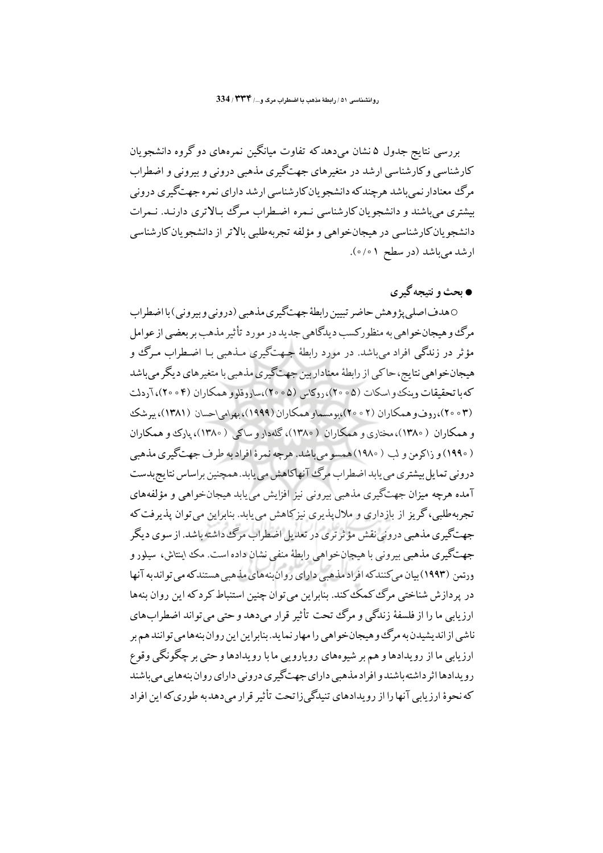بررسی نتایج جدول ۵ نشان میردهدکه تفاوت میانگین نمرههای دوگروه دانشجویان کارشناسی وکارشناسی ارشد در متغیرهای جهتگیری مذهبی درونی و بیرونی و اضطراب مرگ معنادار نمی باشد هرچند که دانشجو یان کارشناسی ارشد دارای نمره جهتگیری درونی بیشتری می باشند و دانشجویان کارشناسی نـمره اضـطراب مـرگ ببالاتری دارنـد. نـمرات دانشجو يان كارشناسي در هيجانخواهي و مؤلفه تجربهطلبي بالاتر از دانشجو يان كارشناسي ارشد می باشد (در سطح ۰/۰۱).

# ● بحث و نتیجه گیر ی

0 هدف اصلي پژوهش حاضر تبيين رابطهٔ جهتگيري مذهبي (دروني و بيروني) با اضطراب مرگ و هیجانخواهی به منظورکسب دیدگاهی جدید در مورد تأثیر مذهب بر بعضی از عوامل مؤثر در زندگي افراد مي باشد. در مورد رابطهٔ جـهتگيري مـذهبي بـا اضـطراب مـرگ و هیجانخو اهی نتایج، حاکی از رابطهٔ معناداریین جهتگیری مذهبی با متغیر های دیگر می باشد که با تحقیقات وینک و اسکات (۵۰۰۵)، روکاس (۵۰۰۵)،ساروقلو و همکاران (۴۰۰۴)، آردلت (۲۰۰۳)،روف و همکاران (۲۰۰۲)،بومسماو همکاران (۱۹۹۹)، بهرام احسان (۱۳۸۱)، پیرشک و همکاران ( ۱۳۸۰)،مختاري و همکاران ( ۱۳۸۰)، گلهدار و ساکې ( ۱۳۸۰)، يارک و همکاران ( ۱۹۹۰) و زاکرمن و لب ( ۱۹۸۰) همسو می باشد. هرچه نمرهٔ افراد به طرف جهتگیری مذهبی دروني تمايل بيشتري مي بابد اضطراب مرگ آنهاكاهش مي بابد. همچنين براساس نتايج بدست آمده هرچه میزان جهتگیری مذهبی بیرونی نیز افزایش می یابد هیجانخواهی و مؤلفههای تجربهطلبی،گریز از بازداری و ملال¢ندیری نیزکاهش مییابد. بنابراین میتوان پذیرفت که جهتگیری مذهبی درونی نقش مؤثر تری در تعدیل اضطراب مرگ داشته باشد. از سوی دیگر جهتگیری مذهبی بیرونی با هیجانِخواهی رابطهٔ منفی نشان داده است. مک اینتاش، سیلور و ورتمن (۱۹۹۳) بیان میکنندکه افراد مذهبی دارای روان بنههای مذهبی هستندکه می تواند به آنها در پردازش شناختی مرگ کمک کند. بنابراین می توان چنین استنباط کرد که این روان بنهها ارزيابي ما را از فلسفهٔ زندگي و مرگ تحت تأثير قرار مي دهد و حتى مي تواند اضطراب هاي ناشی از اندیشیدن به مرگ و هیجان خواهی را مهار نماید. بنابراین این روان بنههامی توانند هم بر ارزیابی ما از رویدادها و هم بر شیوههای رویارویی ما با رویدادها و حتی بر چگونگی وقوع رویدادها اثر داشته باشند و افراد مذهبی دارای جهتگیری درونی دارای روان بنههایی می باشند که نحوهٔ ارز مایی آنها را از رو مدادهای تنبدگی زا تحت تأثیر قرار می دهد به طوری که این افراد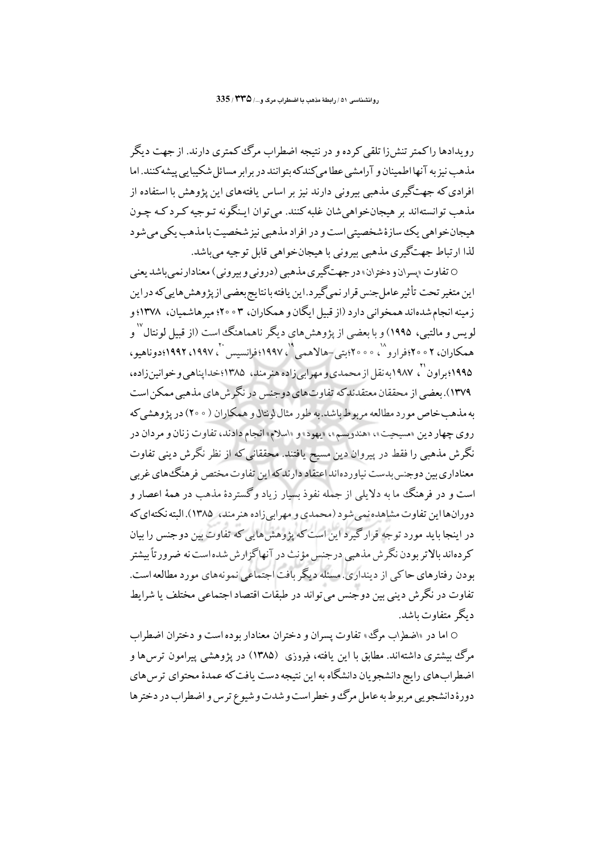رویدادها راکمتر تنش(ا تلقی کرده و در نتیجه اضطراب مرگ کمتری دارند. از جهت دیگر مذهب نیز به آنها اطمینان و آرامشی عطا می کندکه بتوانند در بر ابر مسائل شکیبایی پیشه کنند. اما افرادی که جهتگیری مذهبی بیرونی دارند نیز بر اساس یافتههای این پژوهش با استفاده از مذهب توانستهاند بر هيجانخواهي شان غلبه كنند. مي توان ايـنگونه تـوجيه كـرد كـه چـون هیجانخواهی یک سازهٔ شخصیتی است و در افراد مذهبی نیز شخصیت با مذهب یکی می شود لذا ارتباط جهتگيري مذهبي بيروني با هيجانخواهي قابل توجيه مي باشد.

0 تفاوت «پسران و دختران» در جهتگیری مذهبی (درونی و بیرونی) معنادار نمیباشد یعنی این متغیر تحت تأثیر عامل جنس قرار نمی گیر د.این یافته بانتایج بعضبی از پژوهش هایی که در این زمینه انجام شدهاند همخوانی دارد (از قبیل ایگان و همکاران، ۳ ۰ ° ۲: میر هاشمیان، ۱۳۷۸؛ و لویس و مالتبی، ۱۹۹۵) و با بعضی از پژوهش های دیگر ناهماهنگ است (از قبیل لونتال ۱٬ همکاران، ۲ ۰ ° ۲۰؛فرارو ``، ۰ ° ۰ °؛بتي–هالاهمي ``، ۱۹۹۷؛فرانسيس ``، ۱۹۹۷، ۱۹۹۲؛دوناهيو، ۱۹۹۵؛ براون ``، ۱۹۸۷به نقل از محمدي و مهرابي زاده هنرمند، ۱۳۸۵؛ خدايناهي و خوانين زاده، ۱۳۷۹).بعضی از محققان معتقدند که تفاوتهای دوجنس در نگرش های مذهبی ممکن است به مذهب خاص مورد مطالعه مربوط باشد.به طور مثال لونتال و همکاران ( ٢٥٥٠) در يژوهشي که روي چهار دين «مسيحيت»، «هندويسم»، «يهود» و «اسلام» انجام دادند، تفاوت زنان و مردان در نگرش مذهبی را فقط در پیروان دین مسیح یافتند. محققانی که از نظر نگرش دینی تفاوت معناداری بین دوجنس بدست نیاوردهاند اعتقاد دارند که این تفاوت مختص فرهنگ های غربی است و در فرهنگ ما به دلایلی از جمله نفوذ بسیار زیاد وگستردهٔ مذهب در همهٔ اعصار و دورانها این تفاوت مشاهده نمی شود (محمدی و مهرابی زاده هنرمند، ۱۳۸۵). البته نکتهای که در اینجا باید مورد توجه قرارگیرد این است که پژوهش هایی که تفاوت بین دوجنس را بیان کردهاند بالاتر بودن نگرش مذهبی درجنس مؤنث در آنهاگزارش شده است نه ضرور تأبیشتر بودن رفتارهای حاکی از دینداری. مسئله دیگر بافت اجتماعی نمونههای مورد مطالعه است. ۔<br>تفاوت در نگر ش دپنی بین دو جنس می تواند در طبقات اقتصاد اجتماعی مختلف با شرایط دىگە متفاوت پاشد.

0 اما در «اضطراب مرگ» تفاوت پسران و دختران معنادار بوده است و دختران اضطراب مرگ بیشتری داشتهاند. مطابق با این یافته، فیروزی (۱۳۸۵) در پژوهشی پیرامون ترس۵ا و اضطراب های رایج دانشجو یان دانشگاه به این نتیجه دست یافت که عمدهٔ محتوای ترس های دورهٔ دانشجو یی مربوط به عامل مرگ و خطر است و شدت و شیوع ترس و اضطراب در دخترها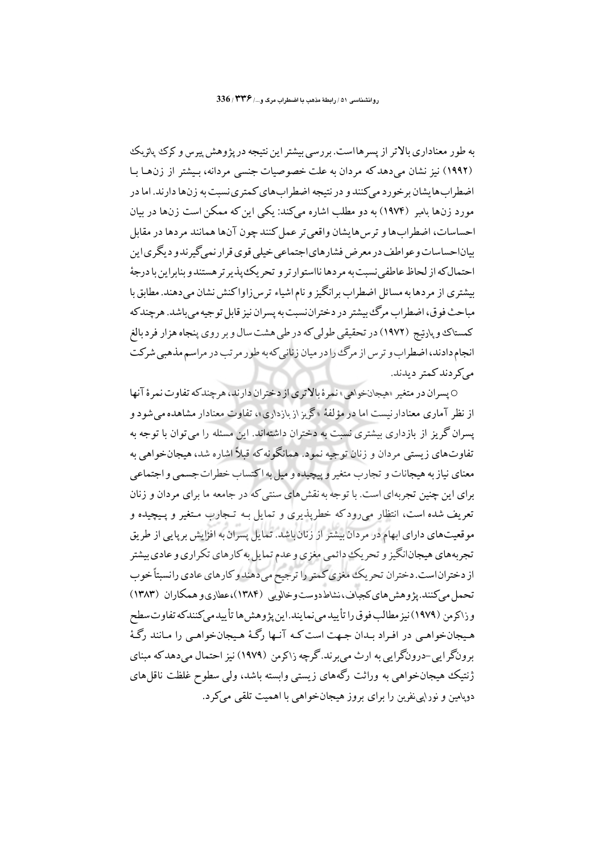به طور معناداری بالاتر از پسرهااست. بررسی بیشتر این نتیجه در پژوهش پیرس و کرک پاتریک (۱۹۹۲) نیز نشان می دهد که مردان به علت خصوصیات جنسی مردانه، بیشتر از زن ها با اضطراب ها یشان برخورد میکنند و در نتیجه اضطراب های کمتری نسبت به زن ها دارند. اما در مورد زنها بامبر (۱۹۷۴) به دو مطلب اشاره میکند: یکی این که ممکن است زنها در بیان احساسات، اضطرابها و ترس هايشان واقعي تر عمل كنند چون آنها همانند مردها در مقابل بياناحساسات وعو اطف در معرض فشار هاي اجتماعي خيلي قوي قرار نهي گير ندو ديگري اين احتمال كه از لحاظ عاطفي نسبت به مر دها نااستو ار تر و تحريك پذير تر هستند و بنابراين با درجهٔ بیشتری از مردها به مسائل اضطراب برانگیز و نام اشیاء ترس(اواکنش نشان میدهند. مطابق با مباحث فو ق، اضطراب مرگ بیشتر در دختران نسبت به پسران نیز قابل تو جیه می باشد. هر چند که کمستاک و پارتیج (۱۹۷۲) در تحقیقی طولی که در طی هشت سال و بر روی پنجاه هزار فرد بالغ انجام دادند، اضطراب و ترس از مرگ را در میان زنانی که به طور مرتب در مراسم مذهبی شرکت مرکے دند کمتر دیدند.

0 پسران در متغیر «هیجانخواهی» نمرهٔ بالا تری از دختران دارند، هر چند که تفاوت نمرهٔ آنها از نظر آماری معنادار نیست اما در مؤلفهٔ «گریز از بازداری»، تفاوت معنادار مشاهده می شود و پسران گریز از بازداری بیشتری نسبت به دختران داشتهاند. این مسئله را می توان با توجه به .<br>تفاوتهای زیستی مردان و زنان توجه نمود. همانگونه که قبلاً اشاره شد، هیجانخواهی به معناي نياز به هيجانات و تجارب متغير و پيچيده و ميل به اكتساب خطرات جسمي و اجتماعي برای این چنین تجربهای است. با توجه به نقش های سنتی که در جامعه ما برای مردان و زنان تعریف شده است، انتظار می رودکه خطرپذیری و تمایل بـه تـجارب مـتغیر و پـیچیده و موقعیتهای دارای ابهام در مردان بیشتر از زنان باشد. تمایل پسران به افزایش برپایی از طریق تجربههای هیجانانگیز و تحریک دائمی مغزی و عدم تمایل به کارهای تکراری و عادی بیشتر از دختراناست. دختران تحریک مغزی کمتر را ترجیح می دهند و کارهای عادی رانسبتاً خوب تحمل می کنند. یژوهش های کجباف،نشاط دوست و خالویی (۱۳۸۴)،عطاری و همکاران (۱۳۸۳) و ذاكر من (١٩٧٩) نيز مطالب فو ق را تأييد مي نما يند.اين يژ وهش ها تأييد مي كنندكه تفاوت سطح هیجانخواهبی در افراد بـدان جـهت است کـه آنـها رگـهٔ هـیجانخواهـی را مـانند رگـهٔ برونگرايي-درونگرايي به ارث مي برند.گرچه زاكرمن (١٩٧٩) نيز احتمال مي دهدكه مبناي ژنتیک هیجانخواهی به وراثت رگههای زیستی وابسته باشد، ولی سطوح غلظت ناقل های دویامین و نورایی نفرین را برای بروز هیجانخواهی با اهمیت تلقی می کرد.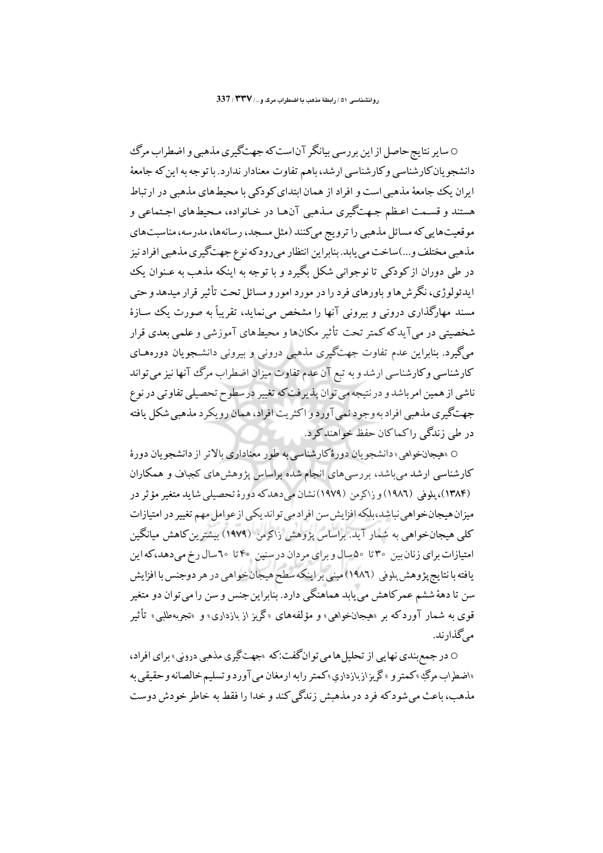0 سایر نتایج حاصل از این بر رسی بیانگر آناست که جهتگیری مذهبی و اضطراب مرگ دانشجو یان کارشناسی و کارشناسی ارشد، باهم تفاوت معنادار ندارد. با توجه به این که جامعهٔ ایران یک جامعهٔ مذهبی است و افراد از همان ابتدای کودکی با محیطهای مذهبی در ارتباط هستند و قسـمت اعـظم جـهتگیری مـذهبی آن۱مـا در خـانواده، مـحیطهای اجـتماعی و موقعیتهایی که مسائل مذهبی را ترویج میکنند (مثل مسجد، رسانهها، مدرسه، مناسبتهای مذهبی مختلف و...)ساخت می یابد. بنابراین انتظار میرودکه نوع جهتگیری مذهبی افراد نیز در طی دوران از کودکی تا نوجوانی شکل بگیرد و با توجه به اینکه مذهب به عـنوان یک ایدئولوژی، نگرشها و باورهای فرد را در مورد امور و مسائل تحت تأثیر قرار میدهد و حتی مسند مهارگذاری درونی و بیرونی آنها را مشخص می نماید، تقریباً به صورت یک سـازهٔ شخصیتی در می آیدکه کمتر تحت تأثیر مکانها و محیطهای آموزشی و علمی بعدی قرار میگیرد. بنابراین عدم تفاوت جهتگیری مذهبی درونی و بیرونی دانشجویان دورههـای کارشناسی وکارشناسی ارشد و به تبع آن عدم تفاوت میزان اضطراب مرگ آنها نیز می تواند ناشی از همین امر باشد و در نتیجه می توان پذیرفت که تغییر در سطوح تحصیلی تفاوتی در نوع جهتگيري مذهبي افراد به وجود نمي آورد و اکثريت افراد، همان رويکر د مذهبي شکل يافته در طي زندگي راكماكان حفظ خواهند كرد.

0 «هيجانخواهي» دانشجويان دورهٔكارشناسي به طور معناداري بالاتر از دانشجويان دورهٔ کارشناسی ارشد می باشد، بررسی های انجام شده براساس پژوهش های کجباف و همکاران (١٣٨٤)، يلوفي (١٩٨٦) و زاكرمن (١٩٧٩)نشان مي دهدكه دورة تحصيلي شايد متغير مؤثر در میزان هیجان خواهی نباشد،بلکه افزایش سن افراد می تواند یکی از عوامل مهم تغییر در امتیازات کلبی هیجانخواهی به شمار آید. براساس پژوهش زاکرمن (۱۹۷۹) بیشترین کاهش میانگین امتیازات برای زنان بین ۳۰ تا ۵۰سال و برای مردان در سنین ۴۰ تا ۲۰سال رخ می دهد،که این يافته با نتايج پژوهش پلوڼي (١٩٨٦) مېنې براينكه سطح هيجانخواهي در هر دوجنس با افزايش سن تا دههٔ ششم عمرکاهش می پابد هماهنگی دارد. بنابراین جنس و سن را می توان دو متغیر قوی به شمار آوردکه بر «هیجانخواهی» و مؤلفههای «گریز از بازداری» و «تجربهطلبی» تأثیر مے گذارند.

0 در جمع بندي نهايي از تحليل ها مي توانگفت:كه «جهتگيري مذهبي دروني» براي افراد، «اضطراب مرگِ »کمتر و «گريزازبازداري»کمتر رابه ارمغان مي آورد و تسليم خالصانه و حقيقي به مذهب، ماعث می شو د که فر د در مذهش زندگی کند و خدا را فقط به خاطر خو دش دوست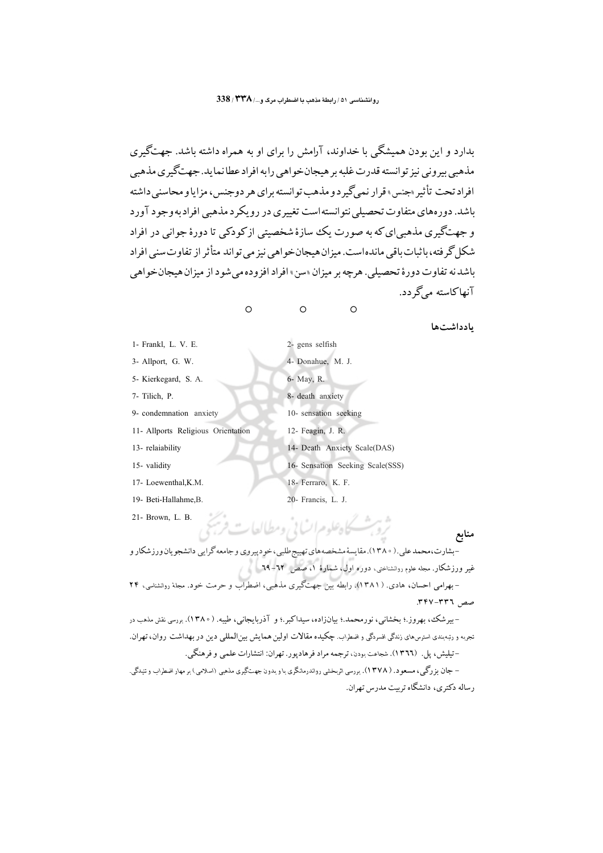بدارد و این بودن همیشگی با خداوند، آرامش را برای او به همراه داشته باشد. جهتگیری مذهبي ٻيروني نيز توانسته قدرت غلبه بر هيجان خواهي رابه افراد عطا نمايد. جهتڱيري مذهبي افراد تحت تأثير «جنس» قرار نمي گير د و مذهب تو انسته براي هر دوجنس، مزايا و محاسني داشته باشد. دورههای متفاوت تحصیلی نتوانسته است تغییری در رویکرد مذهبی افراد به وجود آورد و جهتگیری مذهبی ای که به صورت یک سازهٔ شخصیتی از کودکی تا دورهٔ جوانی در افراد شکل گر فته، پاثبات باقبے ماندہاست. میزان هیجان خو اهی نیز می تو اند متأثر از تفاوت سنے افراد باشد نه تفاوت دو د ۀ تحصيلي . هرجه بر ميزان «سن» افراد افزو ده مر شو د از ميزان هيجان خواهير آنهاکاسته مےگر دد.

 $\circ$ 

 $\circ$ 

 $\circ$ 

بادداشتها

| 1- Frankl, L. V. E.                | 2- gens selfish                  |
|------------------------------------|----------------------------------|
| 3- Allport, G. W.                  | 4- Donahue, M. J.                |
| 5- Kierkegard, S. A.               | 6- May, R.                       |
| 7- Tilich, P.                      | 8- death anxiety                 |
| 9- condemnation anxiety            | 10- sensation seeking            |
| 11- Allports Religious Orientation | 12- Feagin, J. R.                |
| 13- relaiability                   | 14- Death Anxiety Scale(DAS)     |
| 15- validity                       | 16- Sensation Seeking Scale(SSS) |
| 17- Loewenthal, K.M.               | 18- Ferraro, K. F.               |
| 19- Beti-Hallahme, B.              | 20- Francis, L. J.               |
|                                    |                                  |

21- Brown, L. B.

-بشارت،محمد علی.( ۱۳۸۰).مقایسهٔ مِشخصههای تهییج طلبی،خودپیروی و جامعه گرایی دانشجویان ورزشکار و غیر ورزشکار. مجله علوم روانشناختی، دوره اول، شمارهٔ ۱، صص ۲۲–۲۹ - بهرامی احسان، هادی. ( ۱۳۸۱). رابطه بین جهتگیری مذهبی، اضطراب و حرمت خود. مجلهٔ روانشناسی، ۲۴ صص ٣٣٦-٣٣٧.

ثرو بثسكاه علوم انساني ومطالعات فريج

-بیرشک، بهروز.؛ بخشانی، نورمحمد.؛ بیانزاده، سیداکبر.؛ و آذربایجانی، طیبه. (١٣٨٠). بررسی نقش مذهب در <sub>.</sub><br>تجربه و رتبهبندی استرسرهای زندگی افسردگی و اضطراب. چکیده مقالات اولین همایش بین|لمللی دین در بهداشت روان، تهران. –تيليش، پل. (١٣٦٦). شجاعت بودن، ترجمه مراد فرهادپور. تهران: انتشارات علمي و فرهنگي. – جان بزرگی، مسعود. ( ۱۳۷۸). بررسی اثربخشی رواندرمانگری با و بدون جهتگیری مذهبی (اسلامی) بر مهار اضطراب و تنبدگی.

رساله دکتری، دانشگاه ترست مدرس تهران.

منابع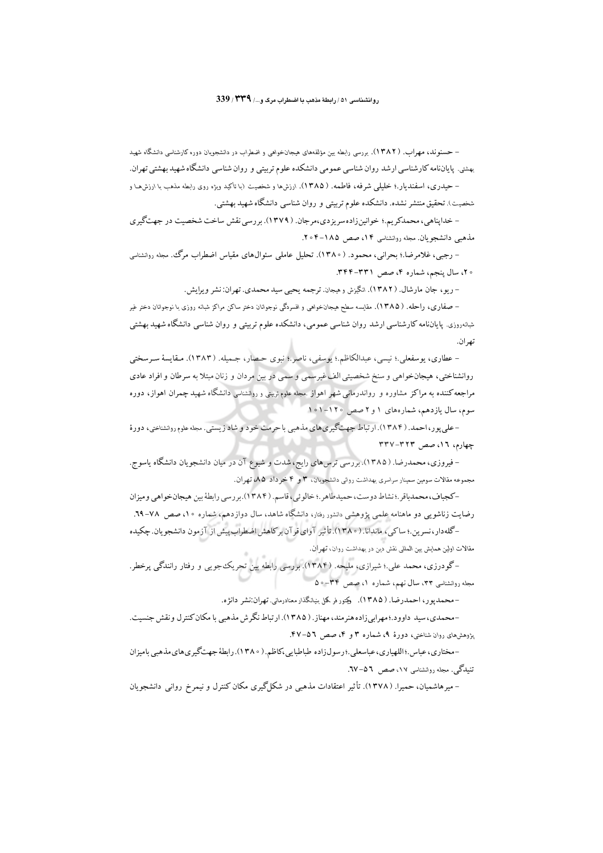– حسنوند، مهراب. (۱۳۸۲). بررسی رابطه بین مؤلفههای هیجانخواهی و اضطراب در دانشجویان دوره کارشناسی دانشگاه شهید بهشتی. پایاننامه کارشناسی ارشد روان شناسی عمومی دانشکده علوم تربیتی و روان شناسی دانشگاه شهید بهشتی تهران. – حیدری، اسفندیار.؛ خلیلمی شرفه، فاطمه. ( ۱۳۸۵). ارزشها و شخصیت (با تأکید ویژه روی رابطه مذهب با ارزشهدا و شخصیت). تحقیق منتشر نشده. دانشکده علوم تربیتی و روان شناسی دانشگاه شهید بهشتی.

- خداپناهی، محمدکریم.؛ خوانینزاده سریزدی،مرجان. ( ۱۳۷۹). بررسی نقش ساخت شخصیت در جهتگیری مذهبی دانشجویان. مجله روانشناسی ۱۴، صص ۱۸۵–۲۰۴.

– رجبی، غلامرضا.؛ بحرانی، محمود. (١٣٨٠). تحلیل عاملی سئوالهای مقیاس اضطراب مرگ، مجله روانشناسی ۲۰، سال پنجم، شماره ۴، صص ۳۳۱–۳۴۴.

- ريو ، جان مارشال. ( ١٣٨٢). انگيزش و هيجان. ترجمه يحيى سيد محمدي. تهران: نشر ويرايش.

– صفاری، راحله. ( ۱۳۸۵). مقایسه سطح هیجانخواهی و افسردگی نوجوانان دختر ساکن مراکز شبانه روزی با نوجوانان دختر غیر شبانه٫وزی. پایانiامه کارشناسی ارشد روان شناسی عمومی، دانشکده علوم تربیتی و روان شناسی دانشگاه شهید بهشتی تهران.

– عطاري، يوسفعلي.؛ نيسي، عبدالكاظم.؛ يوسفي، ناصر.؛ نبوي حـصار، جـميله. (١٣٨٣). مـقايسهٔ سـرسختي روانشناختی، هیجان خواهی و سنخ شخصیتی الف غیرسمی و سمی در بین مردان و زنان مبتلا به سرطان و افراد عادی مراجعه کننده به مراکز مشاوره و رواندرمانی شهر اهواز .مجله علوم تربیتی و روانشناسی دانشگاه شهید چمران اهواز، دوره سوم، سال یازدهم، شمارههای ۱ و ۲ صص ۱۰۱۰-۱۰۱

– علمي یور،احمد. (۱۳۸۴). ارتباط جهتگیري هاي مذهبي باحرمت خود و شاد زيستي. مجه علوم روانشناختي، دورهٔ چهارم، ١٦، صص ٣٢٣-٣٣٧

– فیروزی، محمدرضا. ( ۱۳۸۵). بررسی ترس های رایج، شدت و شیوع آن در میان دانشجویان دانشگاه یاسوج. مجموعه مقالات سومین سمینار سراسری بهداشت روانی دانشجویان، ۳ و ۴ خرداد ۸۵، تهران.

-کجباف،محمدباقر .؛نشاط دوست، حمیدطاهر .؛ خالوئی،قاسم. (۱۳۸۴).بر رسی رابطهٔ بین هیجان خواهی ومیزان رضایت زناشویی دو ماهنامه علمی پژوهشی دنشور رفتار، دانشگاه شاهد، سال دوازدهم، شماره ۱۰، صص ۷۸–۲۹. -گلهدار،نسرین.؛ ساکپی، ماندانا. ( ۱۳۸۰). تأثیر آوای قرآن برکاهش اضطراب پیش از آزمون دانشجویان. چکیده .<br>مقالات اولین همایش بین المللی نقش دین در بهداشت روان، ت<u>هران</u>.

–گودرزی، محمد علی.؛ شیرازی، ملیحه. (۱۳۸۴). بررسی رابطه بین تحریک جویی و رفتار رانندگی پرخطر. مجله روانشناسی ۳۳، سال نهم، شماره ۱، صص ۳۴−۰۵

–محمدپور، احمدرضا. ( ۱۳۸۵). وکتور فر کمل بنیانگذار معنادرمانی. تهران:نشر دانژه.

-محمدي، سيد داوود.؛مهرابيزاده هنرمند، مهناز. ( ۱۳۸۵). ارتباط نگرش مذهبي با مكان كنترل و نقش جنسيت. پژوهشهای روان شناختی، دورهٔ ۹، شماره ۳ و ۴، صص ۵٦–۴۷.

-مختاری، عباس ؛اللهپاری، عباسعلی ؛ رسولزاده طباطبایی،کاظم. ( ۱۳۸۰). رابطهٔ جهتگیریهای مذهبی بامیزان تنبیلگی. مجله روانشناسی ۱۷، صص ۵٦–۲۷.

– میرهاشمیان، حمیرا. (۱۳۷۸). تأثیر اعتقادات مذهبی در شکلگیری مکان کنترل و نیمرخ روانی دانشجویان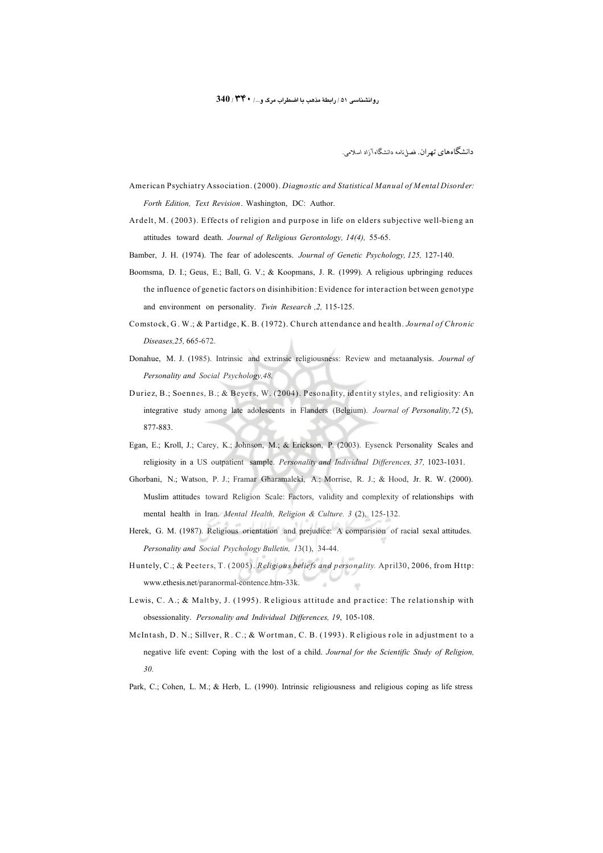دانشگاههای تهران. فصل نامه دانشگاه آزاد اسلامی.

- American Psychiatry Association. (2000). Diagnostic and Statistical Manual of Mental Disorder: Forth Edition, Text Revision. Washington, DC: Author.
- Ardelt, M. (2003). Effects of religion and purpose in life on elders subjective well-bieng an attitudes toward death. Journal of Religious Gerontology, 14(4), 55-65.
- Bamber, J. H. (1974). The fear of adolescents. Journal of Genetic Psychology, 125, 127-140.
- Boomsma, D. I.; Geus, E.; Ball, G. V.; & Koopmans, J. R. (1999). A religious upbringing reduces the influence of genetic factors on disinhibition: Evidence for interaction between genotype and environment on personality. Twin Research , 2, 115-125.
- Comstock, G. W.; & Partidge, K. B. (1972). Church attendance and health. Journal of Chronic Diseases, 25, 665-672.
- Donahue, M. J. (1985). Intrinsic and extrinsic religiousness: Review and metaanalysis. Journal of Personality and Social Psychology.48.
- Duriez, B.; Soennes, B.; & Beyers, W. (2004). Pesonality, identity styles, and religiosity: An integrative study among late adolescents in Flanders (Belgium). Journal of Personality, 72 (5), 877-883.
- Egan, E.; Kroll, J.; Carey, K.; Johnson, M.; & Erickson, P. (2003). Eysenck Personality Scales and religiosity in a US outpatient sample. Personality and Individual Differences, 37, 1023-1031.
- Ghorbani, N.; Watson, P. J.; Framar Gharamaleki, A.; Morrise, R. J.; & Hood, Jr. R. W. (2000). Muslim attitudes toward Religion Scale: Factors, validity and complexity of relationships with mental health in Iran. Mental Health, Religion & Culture. 3 (2), 125-132.
- Herek, G. M. (1987). Religious orientation and prejudice: A comparision of racial sexal attitudes. Personality and Social Psychology Bulletin, 13(1), 34-44.
- Huntely, C.; & Peeters, T. (2005). Religious beliefs and personality. April 30, 2006, from Http: www.ethesis.net/paranormal-contence.htm-33k.
- Lewis, C. A.; & Maltby, J. (1995). Religious attitude and practice: The relationship with obsessionality. Personality and Individual Differences, 19, 105-108.
- McIntash, D. N.; Sillver, R. C.; & Wortman, C. B. (1993). Religious role in adjustment to a negative life event: Coping with the lost of a child. Journal for the Scientific Study of Religion,  $30.$
- Park, C.; Cohen, L. M.; & Herb, L. (1990). Intrinsic religiousness and religious coping as life stress